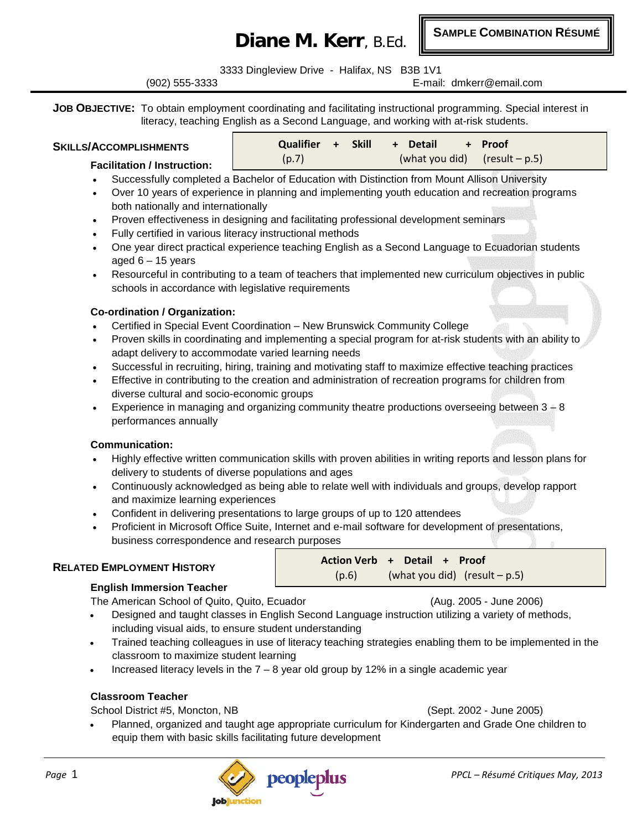# **Diane M. Kerr**, B.Ed.

**SAMPLE COMBINATION RÉSUMÉ**

3333 Dingleview Drive - Halifax, NS B3B 1V1

(902) 555-3333 E-mail: dmkerr@email.com

**JOB OBJECTIVE:** To obtain employment coordinating and facilitating instructional programming. Special interest in literacy, teaching English as a Second Language, and working with at-risk students.

| <b>SKILLS/ACCOMPLISHMENTS</b>      | - Skill<br><b>Oualifier</b> + | <b>Detail</b><br>+ Proot<br>$+$ |
|------------------------------------|-------------------------------|---------------------------------|
| <b>Facilitation / Instruction:</b> | (p.7)                         | (what you did) $(result - p.5)$ |

#### • Successfully completed a Bachelor of Education with Distinction from Mount Allison University

- Over 10 years of experience in planning and implementing youth education and recreation programs both nationally and internationally
- Proven effectiveness in designing and facilitating professional development seminars
- Fully certified in various literacy instructional methods
- One year direct practical experience teaching English as a Second Language to Ecuadorian students aged  $6 - 15$  years
- Resourceful in contributing to a team of teachers that implemented new curriculum objectives in public schools in accordance with legislative requirements

#### **Co-ordination / Organization:**

- Certified in Special Event Coordination New Brunswick Community College
- Proven skills in coordinating and implementing a special program for at-risk students with an ability to adapt delivery to accommodate varied learning needs
- Successful in recruiting, hiring, training and motivating staff to maximize effective teaching practices
- Effective in contributing to the creation and administration of recreation programs for children from diverse cultural and socio-economic groups
- Experience in managing and organizing community theatre productions overseeing between  $3 8$ performances annually

#### **Communication:**

- Highly effective written communication skills with proven abilities in writing reports and lesson plans for delivery to students of diverse populations and ages
- Continuously acknowledged as being able to relate well with individuals and groups, develop rapport and maximize learning experiences
- Confident in delivering presentations to large groups of up to 120 attendees
- Proficient in Microsoft Office Suite, Internet and e-mail software for development of presentations, business correspondence and research purposes

# **RELATED EMPLOYMENT HISTORY**

# **English Immersion Teacher**

The American School of Quito, Quito, Ecuador (Aug. 2005 - June 2006)

- Designed and taught classes in English Second Language instruction utilizing a variety of methods, including visual aids, to ensure student understanding
- Trained teaching colleagues in use of literacy teaching strategies enabling them to be implemented in the classroom to maximize student learning

**Action Verb + Detail + Proof**

 $(p.6)$  (what you did) (result – p.5)

Increased literacy levels in the  $7 - 8$  year old group by 12% in a single academic year

#### **Classroom Teacher**

School District #5, Moncton, NB (Sept. 2002 - June 2005)

• Planned, organized and taught age appropriate curriculum for Kindergarten and Grade One children to equip them with basic skills facilitating future development

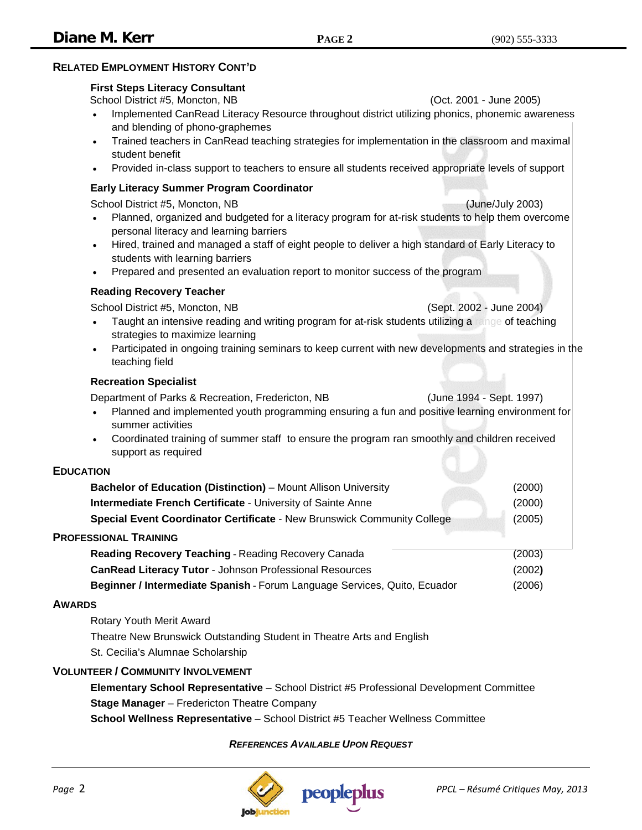# **RELATED EMPLOYMENT HISTORY CONT'D**

#### **First Steps Literacy Consultant**

School District #5, Moncton, NB (Oct. 2001 - June 2005)

- Implemented CanRead Literacy Resource throughout district utilizing phonics, phonemic awareness and blending of phono-graphemes
- Trained teachers in CanRead teaching strategies for implementation in the classroom and maximal student benefit
- Provided in-class support to teachers to ensure all students received appropriate levels of support

#### **Early Literacy Summer Program Coordinator**

School District #5, Moncton, NB (June/July 2003)

- Planned, organized and budgeted for a literacy program for at-risk students to help them overcome personal literacy and learning barriers
- Hired, trained and managed a staff of eight people to deliver a high standard of Early Literacy to students with learning barriers
- Prepared and presented an evaluation report to monitor success of the program

#### **Reading Recovery Teacher**

School District #5, Moncton, NB (Sept. 2002 - June 2004)

- Taught an intensive reading and writing program for at-risk students utilizing a range of teaching strategies to maximize learning
- Participated in ongoing training seminars to keep current with new developments and strategies in the teaching field

#### **Recreation Specialist**

Department of Parks & Recreation, Fredericton, NB (June 1994 - Sept. 1997)

- Planned and implemented youth programming ensuring a fun and positive learning environment for summer activities
- Coordinated training of summer staff to ensure the program ran smoothly and children received support as required

#### **EDUCATION**

| Bachelor of Education (Distinction) - Mount Allison University            | (2000) |
|---------------------------------------------------------------------------|--------|
| Intermediate French Certificate - University of Sainte Anne               | (2000) |
| Special Event Coordinator Certificate - New Brunswick Community College   | (2005) |
| <b>PROFESSIONAL TRAINING</b>                                              |        |
| Reading Recovery Teaching - Reading Recovery Canada                       | (2003) |
| <b>CanRead Literacy Tutor - Johnson Professional Resources</b>            | (2002) |
| Beginner / Intermediate Spanish - Forum Language Services, Quito, Ecuador | (2006) |

#### **AWARDS**

Rotary Youth Merit Award Theatre New Brunswick Outstanding Student in Theatre Arts and English St. Cecilia's Alumnae Scholarship

# **VOLUNTEER / COMMUNITY INVOLVEMENT**

**Elementary School Representative** – School District #5 Professional Development Committee **Stage Manager** – Fredericton Theatre Company

**School Wellness Representative** – School District #5 Teacher Wellness Committee

# *REFERENCES AVAILABLE UPON REQUEST*

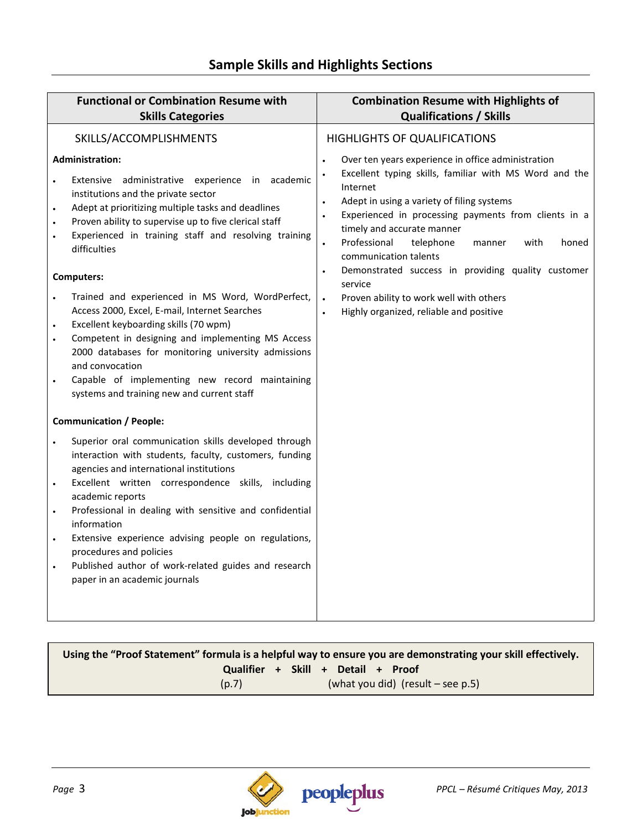| <b>Functional or Combination Resume with</b><br><b>Skills Categories</b>                                                                                                                                                                                                                                                                                                                                                                                                                                                                                                                                                                                                                                               | <b>Combination Resume with Highlights of</b><br><b>Qualifications / Skills</b>                                                                                                                                                                                                                                                                                                                                                                                                                                                                                                     |
|------------------------------------------------------------------------------------------------------------------------------------------------------------------------------------------------------------------------------------------------------------------------------------------------------------------------------------------------------------------------------------------------------------------------------------------------------------------------------------------------------------------------------------------------------------------------------------------------------------------------------------------------------------------------------------------------------------------------|------------------------------------------------------------------------------------------------------------------------------------------------------------------------------------------------------------------------------------------------------------------------------------------------------------------------------------------------------------------------------------------------------------------------------------------------------------------------------------------------------------------------------------------------------------------------------------|
| SKILLS/ACCOMPLISHMENTS                                                                                                                                                                                                                                                                                                                                                                                                                                                                                                                                                                                                                                                                                                 | <b>HIGHLIGHTS OF QUALIFICATIONS</b>                                                                                                                                                                                                                                                                                                                                                                                                                                                                                                                                                |
| <b>Administration:</b><br>Extensive administrative experience in academic<br>institutions and the private sector<br>Adept at prioritizing multiple tasks and deadlines<br>Proven ability to supervise up to five clerical staff<br>Experienced in training staff and resolving training<br>$\bullet$<br>difficulties<br><b>Computers:</b><br>Trained and experienced in MS Word, WordPerfect,<br>Access 2000, Excel, E-mail, Internet Searches<br>Excellent keyboarding skills (70 wpm)<br>Competent in designing and implementing MS Access<br>2000 databases for monitoring university admissions<br>and convocation<br>Capable of implementing new record maintaining<br>systems and training new and current staff | Over ten years experience in office administration<br>Excellent typing skills, familiar with MS Word and the<br>Internet<br>Adept in using a variety of filing systems<br>$\bullet$<br>Experienced in processing payments from clients in a<br>$\bullet$<br>timely and accurate manner<br>Professional<br>telephone<br>with<br>honed<br>manner<br>$\bullet$<br>communication talents<br>Demonstrated success in providing quality customer<br>$\bullet$<br>service<br>Proven ability to work well with others<br>$\bullet$<br>Highly organized, reliable and positive<br>$\bullet$ |
| <b>Communication / People:</b>                                                                                                                                                                                                                                                                                                                                                                                                                                                                                                                                                                                                                                                                                         |                                                                                                                                                                                                                                                                                                                                                                                                                                                                                                                                                                                    |
| Superior oral communication skills developed through<br>interaction with students, faculty, customers, funding<br>agencies and international institutions<br>Excellent written correspondence skills, including<br>$\bullet$<br>academic reports<br>Professional in dealing with sensitive and confidential<br>information<br>Extensive experience advising people on regulations,<br>procedures and policies<br>Published author of work-related guides and research<br>paper in an academic journals                                                                                                                                                                                                                 |                                                                                                                                                                                                                                                                                                                                                                                                                                                                                                                                                                                    |

# **Using the "Proof Statement" formula is a helpful way to ensure you are demonstrating your skill effectively. Qualifier + Skill + Detail + Proof**  $(p.7)$  (what you did) (result – see p.5)

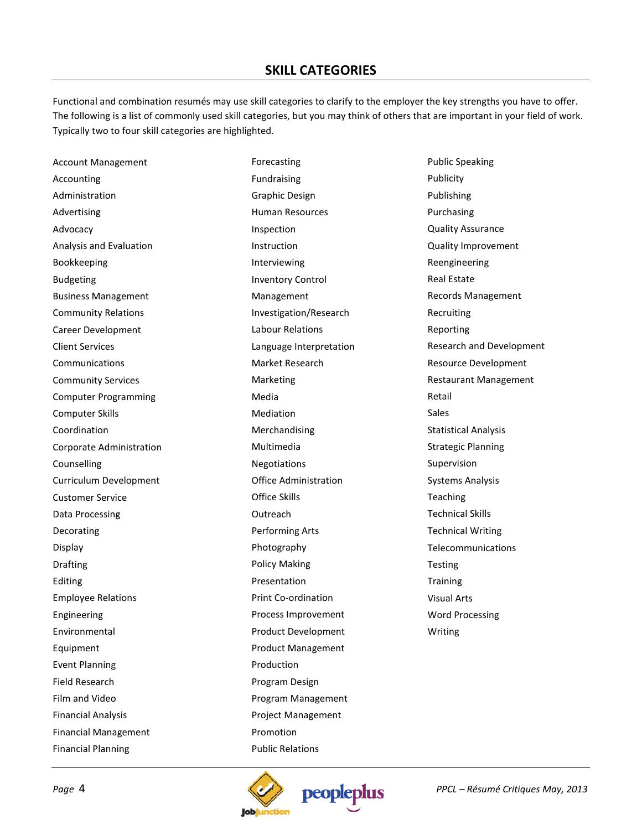# **SKILL CATEGORIES**

Functional and combination resumés may use skill categories to clarify to the employer the key strengths you have to offer. The following is a list of commonly used skill categories, but you may think of others that are important in your field of work. Typically two to four skill categories are highlighted.

Account Management Accounting Administration Advertising Advocacy Analysis and Evaluation Bookkeeping Budgeting Business Management Community Relations Career Development Client Services **Communications** Community Services Computer Programming Computer Skills Coordination Corporate Administration Counselling Curriculum Development Customer Service Data Processing Decorating Display Drafting Editing Employee Relations Engineering Environmental Equipment Event Planning Field Research Film and Video Financial Analysis Financial Management Financial Planning

Forecasting Fundraising Graphic Design Human Resources Inspection Instruction Interviewing Inventory Control Management Investigation/Research Labour Relations Language Interpretation Market Research Marketing Media Mediation Merchandising Multimedia Negotiations Office Administration Office Skills **Outreach** Performing Arts Photography Policy Making Presentation Print Co-ordination Process Improvement Product Development Product Management Production Program Design Program Management Project Management Promotion Public Relations

Public Speaking Publicity Publishing Purchasing Quality Assurance Quality Improvement Reengineering Real Estate Records Management Recruiting Reporting Research and Development Resource Development Restaurant Management Retail Sales Statistical Analysis Strategic Planning Supervision Systems Analysis Teaching Technical Skills Technical Writing Telecommunications Testing **Training** Visual Arts Word Processing Writing



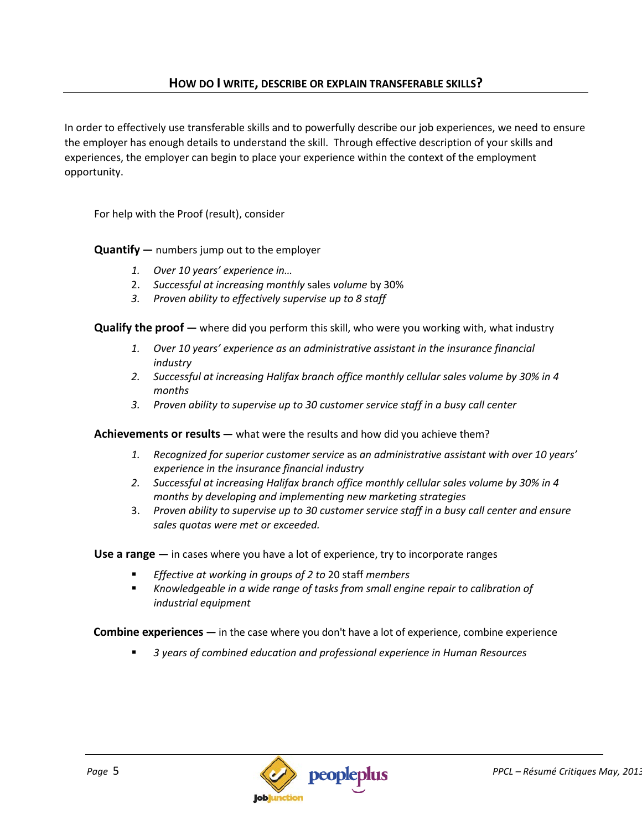In order to effectively use transferable skills and to powerfully describe our job experiences, we need to ensure the employer has enough details to understand the skill. Through effective description of your skills and experiences, the employer can begin to place your experience within the context of the employment opportunity.

For help with the Proof (result), consider

**Quantify —** numbers jump out to the employer

- *1. Over 10 years' experience in…*
- 2. *Successful at increasing monthly* sales *volume* by 30%
- *3. Proven ability to effectively supervise up to 8 staff*

**Qualify the proof —** where did you perform this skill, who were you working with, what industry

- *1. Over 10 years' experience as an administrative assistant in the insurance financial industry*
- *2. Successful at increasing Halifax branch office monthly cellular sales volume by 30% in 4 months*
- *3. Proven ability to supervise up to 30 customer service staff in a busy call center*

**Achievements or results —** what were the results and how did you achieve them?

- *1. Recognized for superior customer service* as *an administrative assistant with over 10 years' experience in the insurance financial industry*
- *2. Successful at increasing Halifax branch office monthly cellular sales volume by 30% in 4 months by developing and implementing new marketing strategies*
- 3. *Proven ability to supervise up to 30 customer service staff in a busy call center and ensure sales quotas were met or exceeded.*

**Use a range —** in cases where you have a lot of experience, try to incorporate ranges

- *Effective at working in groups of 2 to* 20 staff *members*
- **K** Knowledgeable in a wide range of tasks from small engine repair to calibration of *industrial equipment*

**Combine experiences —** in the case where you don't have a lot of experience, combine experience

*3 years of combined education and professional experience in Human Resources*

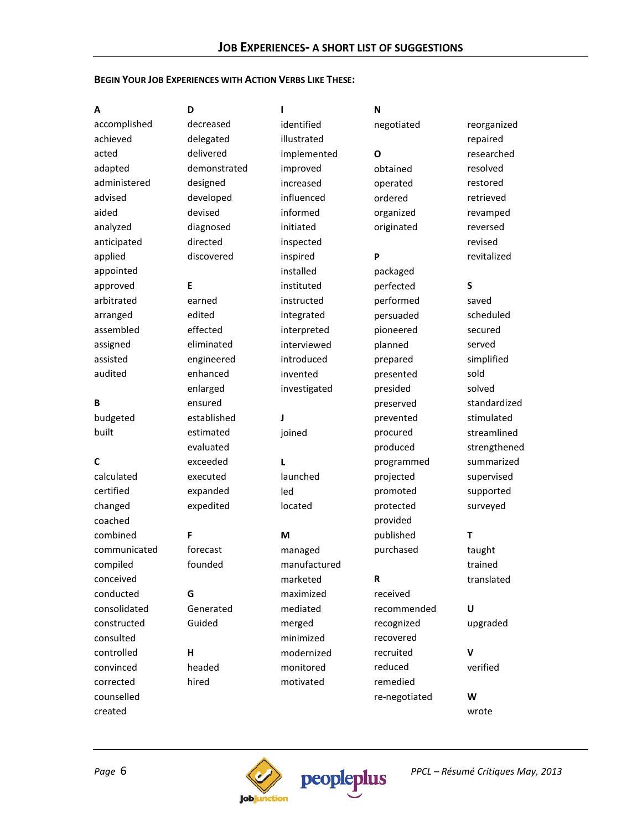#### **BEGIN YOUR JOB EXPERIENCES WITH ACTION VERBS LIKE THESE:**

| A            | D            | ı            | N             |              |
|--------------|--------------|--------------|---------------|--------------|
| accomplished | decreased    | identified   | negotiated    | reorganized  |
| achieved     | delegated    | illustrated  |               | repaired     |
| acted        | delivered    | implemented  | Ο             | researched   |
| adapted      | demonstrated | improved     | obtained      | resolved     |
| administered | designed     | increased    | operated      | restored     |
| advised      | developed    | influenced   | ordered       | retrieved    |
| aided        | devised      | informed     | organized     | revamped     |
| analyzed     | diagnosed    | initiated    | originated    | reversed     |
| anticipated  | directed     | inspected    |               | revised      |
| applied      | discovered   | inspired     | P             | revitalized  |
| appointed    |              | installed    | packaged      |              |
| approved     | Е            | instituted   | perfected     | S            |
| arbitrated   | earned       | instructed   | performed     | saved        |
| arranged     | edited       | integrated   | persuaded     | scheduled    |
| assembled    | effected     | interpreted  | pioneered     | secured      |
| assigned     | eliminated   | interviewed  | planned       | served       |
| assisted     | engineered   | introduced   | prepared      | simplified   |
| audited      | enhanced     | invented     | presented     | sold         |
|              | enlarged     | investigated | presided      | solved       |
| В            | ensured      |              | preserved     | standardized |
| budgeted     | established  | J            | prevented     | stimulated   |
| built        | estimated    | joined       | procured      | streamlined  |
|              | evaluated    |              | produced      | strengthened |
| C            | exceeded     | L            | programmed    | summarized   |
| calculated   | executed     | launched     | projected     | supervised   |
| certified    | expanded     | led          | promoted      | supported    |
| changed      | expedited    | located      | protected     | surveyed     |
| coached      |              |              | provided      |              |
| combined     | F            | M            | published     | Т            |
| communicated | forecast     | managed      | purchased     | taught       |
| compiled     | founded      | manufactured |               | trained      |
| conceived    |              | marketed     | R             | translated   |
| conducted    | G            | maximized    | received      |              |
| consolidated | Generated    | mediated     | recommended   | U            |
| constructed  | Guided       | merged       | recognized    | upgraded     |
| consulted    |              | minimized    | recovered     |              |
| controlled   | н            | modernized   | recruited     | v            |
| convinced    | headed       | monitored    | reduced       | verified     |
| corrected    | hired        | motivated    | remedied      |              |
| counselled   |              |              | re-negotiated | W            |
| created      |              |              |               | wrote        |
|              |              |              |               |              |



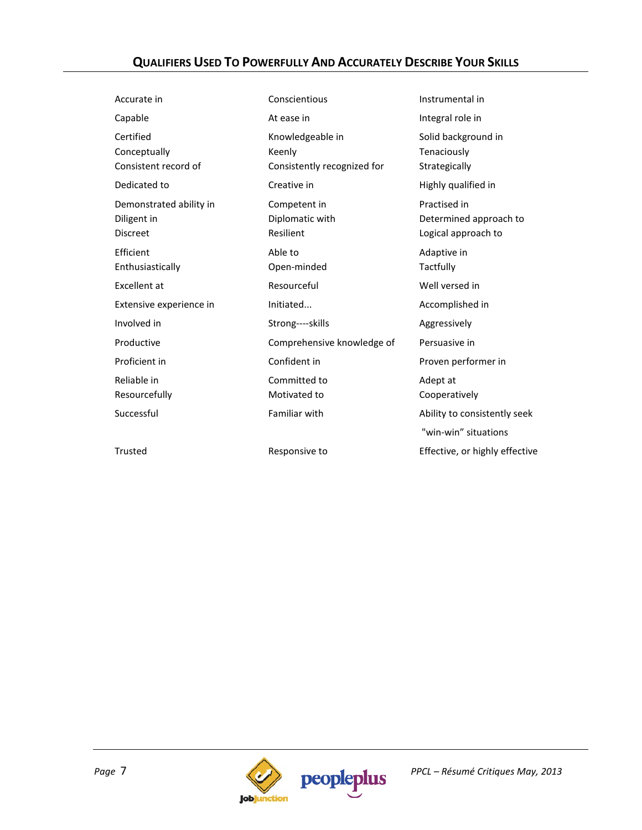# **QUALIFIERS USED TO POWERFULLY AND ACCURATELY DESCRIBE YOUR SKILLS**

| Accurate in                                               | Conscientious                                             | Instrumental in                                               |
|-----------------------------------------------------------|-----------------------------------------------------------|---------------------------------------------------------------|
| Capable                                                   | At ease in                                                | Integral role in                                              |
| Certified<br>Conceptually<br>Consistent record of         | Knowledgeable in<br>Keenly<br>Consistently recognized for | Solid background in<br>Tenaciously<br>Strategically           |
| Dedicated to                                              | Creative in                                               | Highly qualified in                                           |
| Demonstrated ability in<br>Diligent in<br><b>Discreet</b> | Competent in<br>Diplomatic with<br>Resilient              | Practised in<br>Determined approach to<br>Logical approach to |
| Efficient<br>Enthusiastically                             | Able to<br>Open-minded                                    | Adaptive in<br>Tactfully                                      |
| Excellent at                                              | Resourceful                                               | Well versed in                                                |
| Extensive experience in                                   | Initiated                                                 | Accomplished in                                               |
| Involved in                                               | Strong----skills                                          | Aggressively                                                  |
| Productive                                                | Comprehensive knowledge of                                | Persuasive in                                                 |
| Proficient in                                             | Confident in                                              | Proven performer in                                           |
| Reliable in<br>Resourcefully                              | Committed to<br>Motivated to                              | Adept at<br>Cooperatively                                     |
| Successful                                                | Familiar with                                             | Ability to consistently seek                                  |
|                                                           |                                                           | "win-win" situations                                          |
| Trusted                                                   | Responsive to                                             | Effective, or highly effective                                |
|                                                           |                                                           |                                                               |